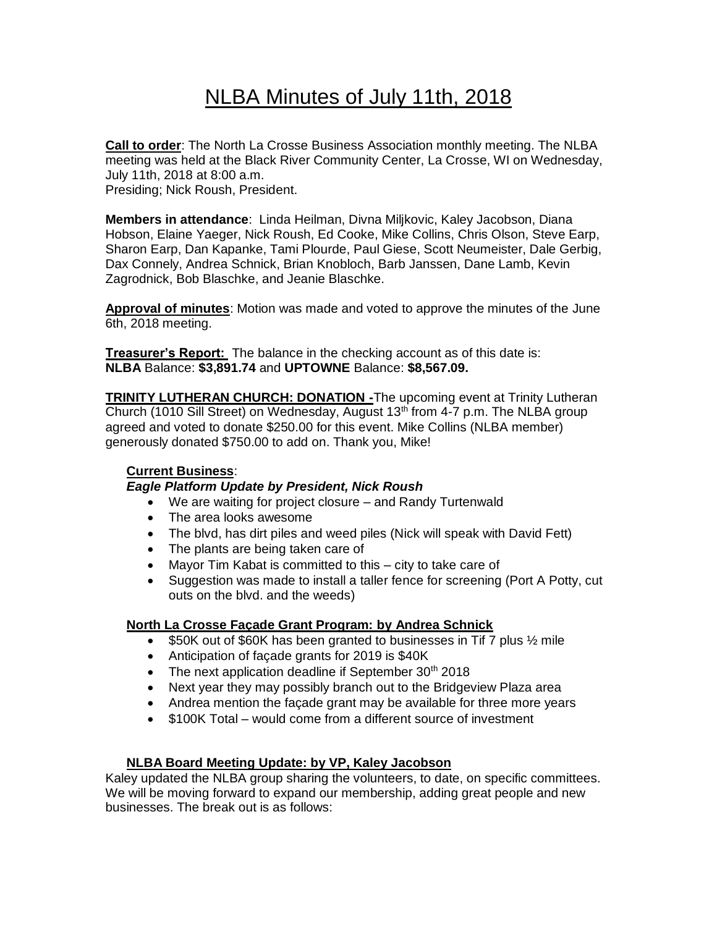# NLBA Minutes of July 11th, 2018

**Call to order**: The North La Crosse Business Association monthly meeting. The NLBA meeting was held at the Black River Community Center, La Crosse, WI on Wednesday, July 11th, 2018 at 8:00 a.m. Presiding; Nick Roush, President.

**Members in attendance**: Linda Heilman, Divna Miljkovic, Kaley Jacobson, Diana Hobson, Elaine Yaeger, Nick Roush, Ed Cooke, Mike Collins, Chris Olson, Steve Earp, Sharon Earp, Dan Kapanke, Tami Plourde, Paul Giese, Scott Neumeister, Dale Gerbig, Dax Connely, Andrea Schnick, Brian Knobloch, Barb Janssen, Dane Lamb, Kevin Zagrodnick, Bob Blaschke, and Jeanie Blaschke.

**Approval of minutes**: Motion was made and voted to approve the minutes of the June 6th, 2018 meeting.

**Treasurer's Report:** The balance in the checking account as of this date is: **NLBA** Balance: **\$3,891.74** and **UPTOWNE** Balance: **\$8,567.09.**

**TRINITY LUTHERAN CHURCH: DONATION -**The upcoming event at Trinity Lutheran Church (1010 Sill Street) on Wednesday, August  $13<sup>th</sup>$  from 4-7 p.m. The NLBA group agreed and voted to donate \$250.00 for this event. Mike Collins (NLBA member) generously donated \$750.00 to add on. Thank you, Mike!

# **Current Business**:

# *Eagle Platform Update by President, Nick Roush*

- We are waiting for project closure and Randy Turtenwald
- The area looks awesome
- The blvd, has dirt piles and weed piles (Nick will speak with David Fett)
- The plants are being taken care of
- Mayor Tim Kabat is committed to this city to take care of
- Suggestion was made to install a taller fence for screening (Port A Potty, cut outs on the blvd. and the weeds)

# **North La Crosse Façade Grant Program: by Andrea Schnick**

- \$50K out of \$60K has been granted to businesses in Tif 7 plus 1/2 mile
- Anticipation of façade grants for 2019 is \$40K
- The next application deadline if September  $30<sup>th</sup>$  2018
- Next year they may possibly branch out to the Bridgeview Plaza area
- Andrea mention the façade grant may be available for three more years
- \$100K Total would come from a different source of investment

# **NLBA Board Meeting Update: by VP, Kaley Jacobson**

Kaley updated the NLBA group sharing the volunteers, to date, on specific committees. We will be moving forward to expand our membership, adding great people and new businesses. The break out is as follows: